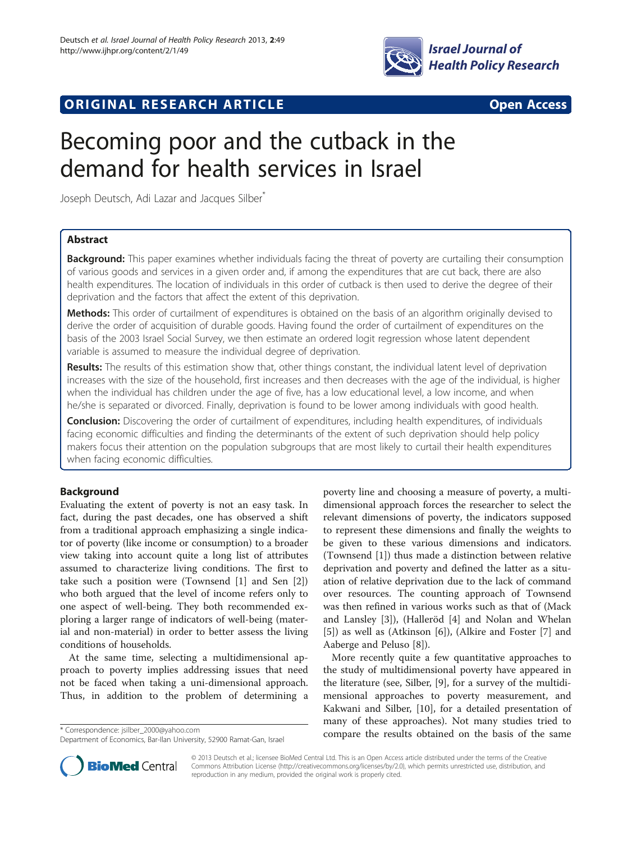

# **ORIGINAL RESEARCH ARTICLE CONSUMING ACCESS**

# Becoming poor and the cutback in the demand for health services in Israel

Joseph Deutsch, Adi Lazar and Jacques Silber<sup>\*</sup>

## Abstract

**Background:** This paper examines whether individuals facing the threat of poverty are curtailing their consumption of various goods and services in a given order and, if among the expenditures that are cut back, there are also health expenditures. The location of individuals in this order of cutback is then used to derive the degree of their deprivation and the factors that affect the extent of this deprivation.

Methods: This order of curtailment of expenditures is obtained on the basis of an algorithm originally devised to derive the order of acquisition of durable goods. Having found the order of curtailment of expenditures on the basis of the 2003 Israel Social Survey, we then estimate an ordered logit regression whose latent dependent variable is assumed to measure the individual degree of deprivation.

Results: The results of this estimation show that, other things constant, the individual latent level of deprivation increases with the size of the household, first increases and then decreases with the age of the individual, is higher when the individual has children under the age of five, has a low educational level, a low income, and when he/she is separated or divorced. Finally, deprivation is found to be lower among individuals with good health.

**Conclusion:** Discovering the order of curtailment of expenditures, including health expenditures, of individuals facing economic difficulties and finding the determinants of the extent of such deprivation should help policy makers focus their attention on the population subgroups that are most likely to curtail their health expenditures when facing economic difficulties.

## Background

Evaluating the extent of poverty is not an easy task. In fact, during the past decades, one has observed a shift from a traditional approach emphasizing a single indicator of poverty (like income or consumption) to a broader view taking into account quite a long list of attributes assumed to characterize living conditions. The first to take such a position were (Townsend [[1\]](#page-8-0) and Sen [\[2](#page-8-0)]) who both argued that the level of income refers only to one aspect of well-being. They both recommended exploring a larger range of indicators of well-being (material and non-material) in order to better assess the living conditions of households.

At the same time, selecting a multidimensional approach to poverty implies addressing issues that need not be faced when taking a uni-dimensional approach. Thus, in addition to the problem of determining a

poverty line and choosing a measure of poverty, a multidimensional approach forces the researcher to select the relevant dimensions of poverty, the indicators supposed to represent these dimensions and finally the weights to be given to these various dimensions and indicators. (Townsend [\[1\]](#page-8-0)) thus made a distinction between relative deprivation and poverty and defined the latter as a situation of relative deprivation due to the lack of command over resources. The counting approach of Townsend was then refined in various works such as that of (Mack and Lansley [\[3](#page-8-0)]), (Halleröd [\[4](#page-8-0)] and Nolan and Whelan [[5\]](#page-8-0)) as well as (Atkinson [\[6\]](#page-8-0)), (Alkire and Foster [[7\]](#page-8-0) and Aaberge and Peluso [\[8\]](#page-8-0)).

More recently quite a few quantitative approaches to the study of multidimensional poverty have appeared in the literature (see, Silber, [\[9](#page-8-0)], for a survey of the multidimensional approaches to poverty measurement, and Kakwani and Silber, [\[10](#page-8-0)], for a detailed presentation of many of these approaches). Not many studies tried to compare the results obtained on the basis of the same \* Correspondence: [jsilber\\_2000@yahoo.com](mailto:jsilber_2000@yahoo.com)



© 2013 Deutsch et al.; licensee BioMed Central Ltd. This is an Open Access article distributed under the terms of the Creative Commons Attribution License [\(http://creativecommons.org/licenses/by/2.0\)](http://creativecommons.org/licenses/by/2.0), which permits unrestricted use, distribution, and reproduction in any medium, provided the original work is properly cited.

Department of Economics, Bar-Ilan University, 52900 Ramat-Gan, Israel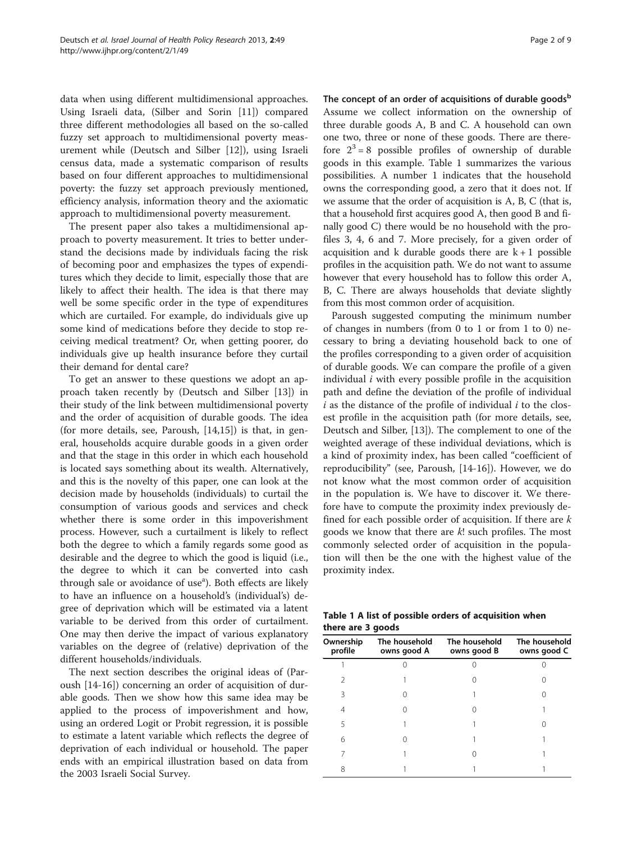data when using different multidimensional approaches. Using Israeli data, (Silber and Sorin [[11](#page-8-0)]) compared three different methodologies all based on the so-called fuzzy set approach to multidimensional poverty measurement while (Deutsch and Silber [[12\]](#page-8-0)), using Israeli census data, made a systematic comparison of results based on four different approaches to multidimensional poverty: the fuzzy set approach previously mentioned, efficiency analysis, information theory and the axiomatic approach to multidimensional poverty measurement.

The present paper also takes a multidimensional approach to poverty measurement. It tries to better understand the decisions made by individuals facing the risk of becoming poor and emphasizes the types of expenditures which they decide to limit, especially those that are likely to affect their health. The idea is that there may well be some specific order in the type of expenditures which are curtailed. For example, do individuals give up some kind of medications before they decide to stop receiving medical treatment? Or, when getting poorer, do individuals give up health insurance before they curtail their demand for dental care?

To get an answer to these questions we adopt an approach taken recently by (Deutsch and Silber [[13](#page-8-0)]) in their study of the link between multidimensional poverty and the order of acquisition of durable goods. The idea (for more details, see, Paroush, [\[14,15\]](#page-8-0)) is that, in general, households acquire durable goods in a given order and that the stage in this order in which each household is located says something about its wealth. Alternatively, and this is the novelty of this paper, one can look at the decision made by households (individuals) to curtail the consumption of various goods and services and check whether there is some order in this impoverishment process. However, such a curtailment is likely to reflect both the degree to which a family regards some good as desirable and the degree to which the good is liquid (i.e., the degree to which it can be converted into cash through sale or avoidance of use<sup>a</sup>). Both effects are likely to have an influence on a household's (individual's) degree of deprivation which will be estimated via a latent variable to be derived from this order of curtailment. One may then derive the impact of various explanatory variables on the degree of (relative) deprivation of the different households/individuals.

The next section describes the original ideas of (Paroush [[14-16\]](#page-8-0)) concerning an order of acquisition of durable goods. Then we show how this same idea may be applied to the process of impoverishment and how, using an ordered Logit or Probit regression, it is possible to estimate a latent variable which reflects the degree of deprivation of each individual or household. The paper ends with an empirical illustration based on data from the 2003 Israeli Social Survey.

The concept of an order of acquisitions of durable goods $<sup>b</sup>$ </sup> Assume we collect information on the ownership of three durable goods A, B and C. A household can own one two, three or none of these goods. There are therefore  $2^3 = 8$  possible profiles of ownership of durable goods in this example. Table 1 summarizes the various possibilities. A number 1 indicates that the household owns the corresponding good, a zero that it does not. If we assume that the order of acquisition is A, B, C (that is, that a household first acquires good A, then good B and finally good C) there would be no household with the profiles 3, 4, 6 and 7. More precisely, for a given order of acquisition and k durable goods there are  $k + 1$  possible profiles in the acquisition path. We do not want to assume however that every household has to follow this order A, B, C. There are always households that deviate slightly from this most common order of acquisition.

Paroush suggested computing the minimum number of changes in numbers (from 0 to 1 or from 1 to 0) necessary to bring a deviating household back to one of the profiles corresponding to a given order of acquisition of durable goods. We can compare the profile of a given individual  $i$  with every possible profile in the acquisition path and define the deviation of the profile of individual  $i$  as the distance of the profile of individual  $i$  to the closest profile in the acquisition path (for more details, see, Deutsch and Silber, [[13](#page-8-0)]). The complement to one of the weighted average of these individual deviations, which is a kind of proximity index, has been called "coefficient of reproducibility" (see, Paroush, [[14-16](#page-8-0)]). However, we do not know what the most common order of acquisition in the population is. We have to discover it. We therefore have to compute the proximity index previously defined for each possible order of acquisition. If there are  $k$ goods we know that there are k! such profiles. The most commonly selected order of acquisition in the population will then be the one with the highest value of the proximity index.

Table 1 A list of possible orders of acquisition when there are 3 goods

| Ownership<br>profile | The household<br>owns good A | The household<br>owns good B | The household<br>owns good C |
|----------------------|------------------------------|------------------------------|------------------------------|
|                      |                              |                              |                              |
|                      |                              |                              |                              |
| ੨                    |                              |                              |                              |
| 4                    |                              |                              |                              |
| 5                    |                              |                              |                              |
| 6                    |                              |                              |                              |
|                      |                              |                              |                              |
| 8                    |                              |                              |                              |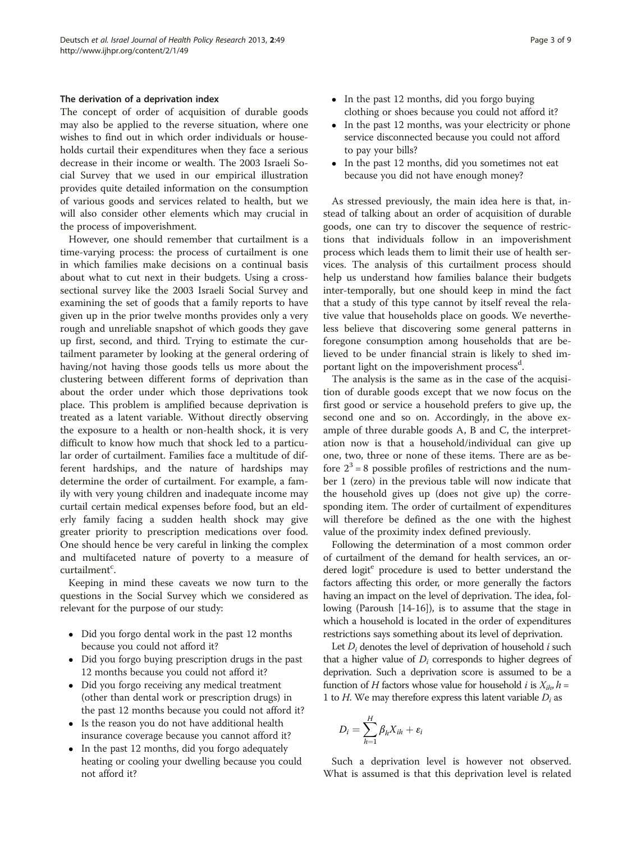#### The derivation of a deprivation index

The concept of order of acquisition of durable goods may also be applied to the reverse situation, where one wishes to find out in which order individuals or households curtail their expenditures when they face a serious decrease in their income or wealth. The 2003 Israeli Social Survey that we used in our empirical illustration provides quite detailed information on the consumption of various goods and services related to health, but we will also consider other elements which may crucial in the process of impoverishment.

However, one should remember that curtailment is a time-varying process: the process of curtailment is one in which families make decisions on a continual basis about what to cut next in their budgets. Using a crosssectional survey like the 2003 Israeli Social Survey and examining the set of goods that a family reports to have given up in the prior twelve months provides only a very rough and unreliable snapshot of which goods they gave up first, second, and third. Trying to estimate the curtailment parameter by looking at the general ordering of having/not having those goods tells us more about the clustering between different forms of deprivation than about the order under which those deprivations took place. This problem is amplified because deprivation is treated as a latent variable. Without directly observing the exposure to a health or non-health shock, it is very difficult to know how much that shock led to a particular order of curtailment. Families face a multitude of different hardships, and the nature of hardships may determine the order of curtailment. For example, a family with very young children and inadequate income may curtail certain medical expenses before food, but an elderly family facing a sudden health shock may give greater priority to prescription medications over food. One should hence be very careful in linking the complex and multifaceted nature of poverty to a measure of curtailment<sup>c</sup>.

Keeping in mind these caveats we now turn to the questions in the Social Survey which we considered as relevant for the purpose of our study:

- Did you forgo dental work in the past 12 months because you could not afford it?
- Did you forgo buying prescription drugs in the past 12 months because you could not afford it?
- Did you forgo receiving any medical treatment (other than dental work or prescription drugs) in the past 12 months because you could not afford it?
- Is the reason you do not have additional health insurance coverage because you cannot afford it?
- In the past 12 months, did you forgo adequately heating or cooling your dwelling because you could not afford it?
- In the past 12 months, did you forgo buying clothing or shoes because you could not afford it?
- In the past 12 months, was your electricity or phone service disconnected because you could not afford to pay your bills?
- In the past 12 months, did you sometimes not eat because you did not have enough money?

As stressed previously, the main idea here is that, instead of talking about an order of acquisition of durable goods, one can try to discover the sequence of restrictions that individuals follow in an impoverishment process which leads them to limit their use of health services. The analysis of this curtailment process should help us understand how families balance their budgets inter-temporally, but one should keep in mind the fact that a study of this type cannot by itself reveal the relative value that households place on goods. We nevertheless believe that discovering some general patterns in foregone consumption among households that are believed to be under financial strain is likely to shed important light on the impoverishment process<sup>d</sup>.

The analysis is the same as in the case of the acquisition of durable goods except that we now focus on the first good or service a household prefers to give up, the second one and so on. Accordingly, in the above example of three durable goods A, B and C, the interpretation now is that a household/individual can give up one, two, three or none of these items. There are as before  $2^3$  = 8 possible profiles of restrictions and the number 1 (zero) in the previous table will now indicate that the household gives up (does not give up) the corresponding item. The order of curtailment of expenditures will therefore be defined as the one with the highest value of the proximity index defined previously.

Following the determination of a most common order of curtailment of the demand for health services, an ordered logit<sup>e</sup> procedure is used to better understand the factors affecting this order, or more generally the factors having an impact on the level of deprivation. The idea, following (Paroush [\[14-16](#page-8-0)]), is to assume that the stage in which a household is located in the order of expenditures restrictions says something about its level of deprivation.

Let  $D_i$  denotes the level of deprivation of household i such that a higher value of  $D_i$  corresponds to higher degrees of deprivation. Such a deprivation score is assumed to be a function of H factors whose value for household *i* is  $X_{ih}$ ,  $h =$ 1 to *H*. We may therefore express this latent variable  $D_i$  as

$$
D_i = \sum_{h=1}^H \beta_h X_{ih} + \varepsilon_i
$$

Such a deprivation level is however not observed. What is assumed is that this deprivation level is related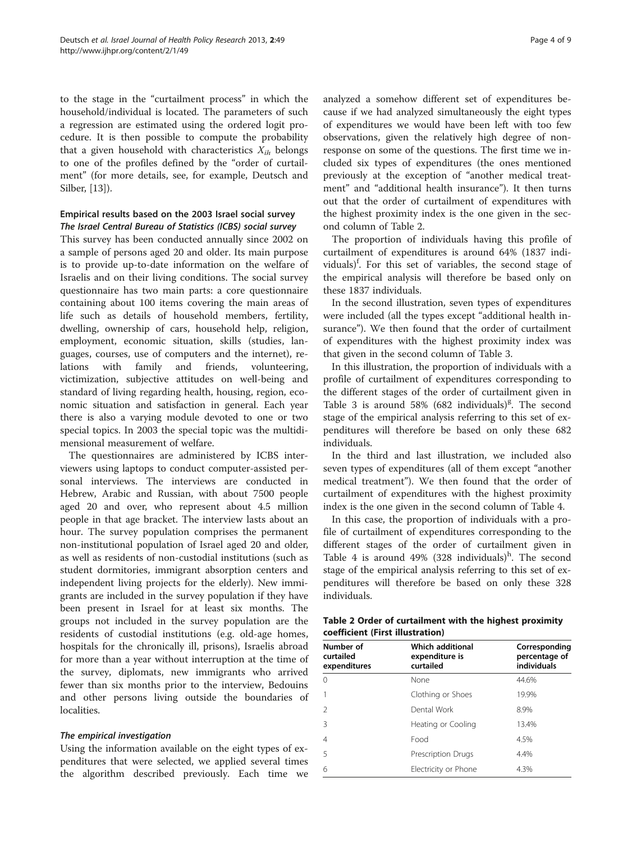<span id="page-3-0"></span>to the stage in the "curtailment process" in which the household/individual is located. The parameters of such a regression are estimated using the ordered logit procedure. It is then possible to compute the probability that a given household with characteristics  $X_{ih}$  belongs to one of the profiles defined by the "order of curtailment" (for more details, see, for example, Deutsch and Silber, [[13](#page-8-0)]).

# Empirical results based on the 2003 Israel social survey

This survey has been conducted annually since 2002 on a sample of persons aged 20 and older. Its main purpose is to provide up-to-date information on the welfare of Israelis and on their living conditions. The social survey questionnaire has two main parts: a core questionnaire containing about 100 items covering the main areas of life such as details of household members, fertility, dwelling, ownership of cars, household help, religion, employment, economic situation, skills (studies, languages, courses, use of computers and the internet), relations with family and friends, volunteering, victimization, subjective attitudes on well-being and standard of living regarding health, housing, region, economic situation and satisfaction in general. Each year there is also a varying module devoted to one or two special topics. In 2003 the special topic was the multidimensional measurement of welfare.

The questionnaires are administered by ICBS interviewers using laptops to conduct computer-assisted personal interviews. The interviews are conducted in Hebrew, Arabic and Russian, with about 7500 people aged 20 and over, who represent about 4.5 million people in that age bracket. The interview lasts about an hour. The survey population comprises the permanent non-institutional population of Israel aged 20 and older, as well as residents of non-custodial institutions (such as student dormitories, immigrant absorption centers and independent living projects for the elderly). New immigrants are included in the survey population if they have been present in Israel for at least six months. The groups not included in the survey population are the residents of custodial institutions (e.g. old-age homes, hospitals for the chronically ill, prisons), Israelis abroad for more than a year without interruption at the time of the survey, diplomats, new immigrants who arrived fewer than six months prior to the interview, Bedouins and other persons living outside the boundaries of localities.

Using the information available on the eight types of expenditures that were selected, we applied several times the algorithm described previously. Each time we

analyzed a somehow different set of expenditures because if we had analyzed simultaneously the eight types of expenditures we would have been left with too few observations, given the relatively high degree of nonresponse on some of the questions. The first time we included six types of expenditures (the ones mentioned previously at the exception of "another medical treatment" and "additional health insurance"). It then turns out that the order of curtailment of expenditures with the highest proximity index is the one given in the second column of Table 2.

The proportion of individuals having this profile of curtailment of expenditures is around 64% (1837 individuals)<sup>f</sup>. For this set of variables, the second stage of the empirical analysis will therefore be based only on these 1837 individuals.

In the second illustration, seven types of expenditures were included (all the types except "additional health insurance"). We then found that the order of curtailment of expenditures with the highest proximity index was that given in the second column of Table [3](#page-4-0).

In this illustration, the proportion of individuals with a profile of curtailment of expenditures corresponding to the different stages of the order of curtailment given in Table [3](#page-4-0) is around 58% (682 individuals)<sup>g</sup>. The second stage of the empirical analysis referring to this set of expenditures will therefore be based on only these 682 individuals.

In the third and last illustration, we included also seven types of expenditures (all of them except "another medical treatment"). We then found that the order of curtailment of expenditures with the highest proximity index is the one given in the second column of Table [4](#page-4-0).

In this case, the proportion of individuals with a profile of curtailment of expenditures corresponding to the different stages of the order of curtailment given in Table [4](#page-4-0) is around  $49\%$  (328 individuals)<sup>h</sup>. The second stage of the empirical analysis referring to this set of expenditures will therefore be based on only these 328 individuals.

| Table 2 Order of curtailment with the highest proximity |  |
|---------------------------------------------------------|--|
| coefficient (First illustration)                        |  |

| Number of<br>curtailed<br>expenditures | <b>Which additional</b><br>expenditure is<br>curtailed | Corresponding<br>percentage of<br>individuals |
|----------------------------------------|--------------------------------------------------------|-----------------------------------------------|
| $\Omega$                               | None                                                   | 44.6%                                         |
| 1                                      | Clothing or Shoes                                      | 19.9%                                         |
| $\mathfrak{D}$                         | Dental Work                                            | 8.9%                                          |
| 3                                      | Heating or Cooling                                     | 13.4%                                         |
| 4                                      | Food                                                   | 4.5%                                          |
| 5                                      | Prescription Drugs                                     | 4.4%                                          |
| 6                                      | Electricity or Phone                                   | 4.3%                                          |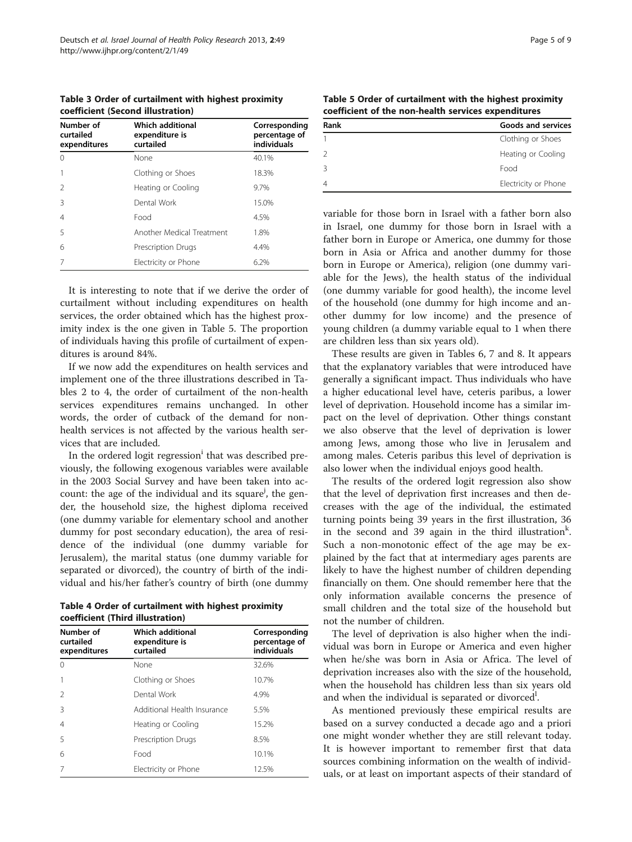<span id="page-4-0"></span>Table 3 Order of curtailment with highest proximity coefficient (Second illustration)

| Number of<br>curtailed<br>expenditures | Which additional<br>expenditure is<br>curtailed | Corresponding<br>percentage of<br>individuals |
|----------------------------------------|-------------------------------------------------|-----------------------------------------------|
| $\cap$                                 | None                                            | 40.1%                                         |
|                                        | Clothing or Shoes                               | 18.3%                                         |
| $\mathcal{L}$                          | Heating or Cooling                              | 9.7%                                          |
| 3                                      | Dental Work                                     | 15.0%                                         |
| 4                                      | Food                                            | 4.5%                                          |
| 5                                      | Another Medical Treatment                       | 1.8%                                          |
| 6                                      | Prescription Drugs                              | 4.4%                                          |
|                                        | Electricity or Phone                            | 6.2%                                          |

It is interesting to note that if we derive the order of curtailment without including expenditures on health services, the order obtained which has the highest proximity index is the one given in Table 5. The proportion of individuals having this profile of curtailment of expenditures is around 84%.

If we now add the expenditures on health services and implement one of the three illustrations described in Tables [2](#page-3-0) to 4, the order of curtailment of the non-health services expenditures remains unchanged. In other words, the order of cutback of the demand for nonhealth services is not affected by the various health services that are included.

In the ordered logit regression<sup>i</sup> that was described previously, the following exogenous variables were available in the 2003 Social Survey and have been taken into account: the age of the individual and its square<sup>j</sup>, the gender, the household size, the highest diploma received (one dummy variable for elementary school and another dummy for post secondary education), the area of residence of the individual (one dummy variable for Jerusalem), the marital status (one dummy variable for separated or divorced), the country of birth of the individual and his/her father's country of birth (one dummy

Table 4 Order of curtailment with highest proximity coefficient (Third illustration)

| Number of<br>curtailed<br>expenditures | <b>Which additional</b><br>expenditure is<br>curtailed | Corresponding<br>percentage of<br>individuals |
|----------------------------------------|--------------------------------------------------------|-----------------------------------------------|
| $\Omega$                               | None                                                   | 32.6%                                         |
|                                        | Clothing or Shoes                                      | 10.7%                                         |
| $\mathcal{P}$                          | Dental Work                                            | 4.9%                                          |
| 3                                      | Additional Health Insurance                            | 5.5%                                          |
| $\overline{4}$                         | Heating or Cooling                                     | 15.2%                                         |
| 5                                      | <b>Prescription Drugs</b>                              | 8.5%                                          |
| 6                                      | Food                                                   | 10.1%                                         |
|                                        | Electricity or Phone                                   | 12.5%                                         |

Table 5 Order of curtailment with the highest proximity coefficient of the non-health services expenditures

| Rank | <b>Goods and services</b> |
|------|---------------------------|
|      | Clothing or Shoes         |
| 2    | Heating or Cooling        |
| 3    | Food                      |
| 4    | Electricity or Phone      |

variable for those born in Israel with a father born also in Israel, one dummy for those born in Israel with a father born in Europe or America, one dummy for those born in Asia or Africa and another dummy for those born in Europe or America), religion (one dummy variable for the Jews), the health status of the individual (one dummy variable for good health), the income level of the household (one dummy for high income and another dummy for low income) and the presence of young children (a dummy variable equal to 1 when there are children less than six years old).

These results are given in Tables [6, 7](#page-5-0) and [8](#page-6-0). It appears that the explanatory variables that were introduced have generally a significant impact. Thus individuals who have a higher educational level have, ceteris paribus, a lower level of deprivation. Household income has a similar impact on the level of deprivation. Other things constant we also observe that the level of deprivation is lower among Jews, among those who live in Jerusalem and among males. Ceteris paribus this level of deprivation is also lower when the individual enjoys good health.

The results of the ordered logit regression also show that the level of deprivation first increases and then decreases with the age of the individual, the estimated turning points being 39 years in the first illustration, 36 in the second and 39 again in the third illustration<sup>k</sup>. Such a non-monotonic effect of the age may be explained by the fact that at intermediary ages parents are likely to have the highest number of children depending financially on them. One should remember here that the only information available concerns the presence of small children and the total size of the household but not the number of children.

The level of deprivation is also higher when the individual was born in Europe or America and even higher when he/she was born in Asia or Africa. The level of deprivation increases also with the size of the household, when the household has children less than six years old and when the individual is separated or divorced<sup>1</sup>.

As mentioned previously these empirical results are based on a survey conducted a decade ago and a priori one might wonder whether they are still relevant today. It is however important to remember first that data sources combining information on the wealth of individuals, or at least on important aspects of their standard of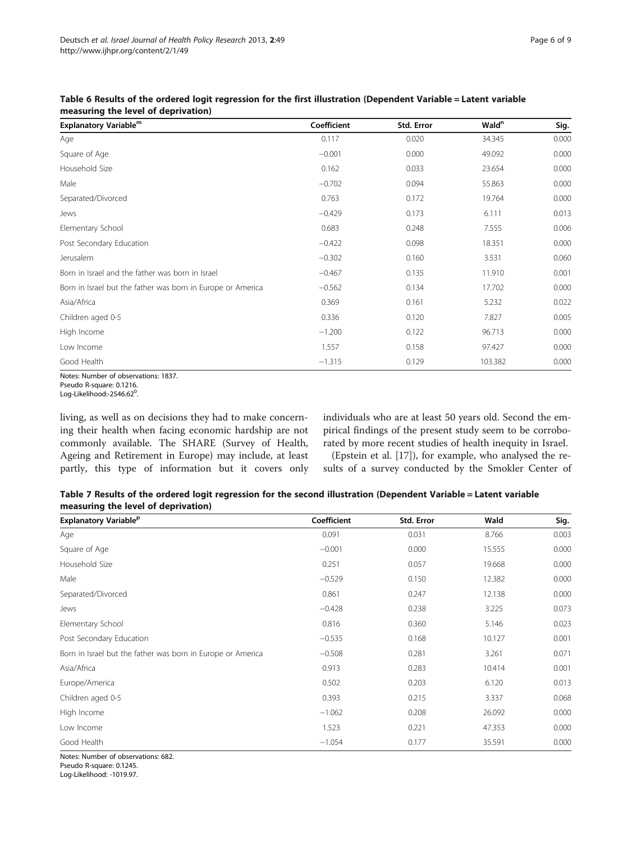| Explanatory Variable <sup>m</sup>                           | Coefficient | Std. Error | Wald <sup>n</sup> | Sig.  |
|-------------------------------------------------------------|-------------|------------|-------------------|-------|
| Age                                                         | 0.117       | 0.020      | 34.345            | 0.000 |
| Square of Age                                               | $-0.001$    | 0.000      | 49.092            | 0.000 |
| Household Size                                              | 0.162       | 0.033      | 23.654            | 0.000 |
| Male                                                        | $-0.702$    | 0.094      | 55.863            | 0.000 |
| Separated/Divorced                                          | 0.763       | 0.172      | 19.764            | 0.000 |
| Jews                                                        | $-0.429$    | 0.173      | 6.111             | 0.013 |
| Elementary School                                           | 0.683       | 0.248      | 7.555             | 0.006 |
| Post Secondary Education                                    | $-0.422$    | 0.098      | 18.351            | 0.000 |
| Jerusalem                                                   | $-0.302$    | 0.160      | 3.531             | 0.060 |
| Born in Israel and the father was born in Israel            | $-0.467$    | 0.135      | 11.910            | 0.001 |
| Born in Israel but the father was born in Europe or America | $-0.562$    | 0.134      | 17.702            | 0.000 |
| Asia/Africa                                                 | 0.369       | 0.161      | 5.232             | 0.022 |
| Children aged 0-5                                           | 0.336       | 0.120      | 7.827             | 0.005 |
| High Income                                                 | $-1.200$    | 0.122      | 96.713            | 0.000 |
| Low Income                                                  | 1.557       | 0.158      | 97.427            | 0.000 |
| Good Health                                                 | $-1.315$    | 0.129      | 103.382           | 0.000 |

<span id="page-5-0"></span>Table 6 Results of the ordered logit regression for the first illustration (Dependent Variable = Latent variable measuring the level of deprivation)

Notes: Number of observations: 1837.

living, as well as on decisions they had to make concerning their health when facing economic hardship are not commonly available. The SHARE (Survey of Health, Ageing and Retirement in Europe) may include, at least partly, this type of information but it covers only individuals who are at least 50 years old. Second the empirical findings of the present study seem to be corroborated by more recent studies of health inequity in Israel.

(Epstein et al. [[17\]](#page-8-0)), for example, who analysed the results of a survey conducted by the Smokler Center of

| Table 7 Results of the ordered logit regression for the second illustration (Dependent Variable = Latent variable |  |  |  |
|-------------------------------------------------------------------------------------------------------------------|--|--|--|
| measuring the level of deprivation)                                                                               |  |  |  |

| <b>Explanatory Variable<sup>p</sup></b>                     | Coefficient | Std. Error | Wald   | Sig.  |
|-------------------------------------------------------------|-------------|------------|--------|-------|
| Age                                                         | 0.091       | 0.031      | 8.766  | 0.003 |
| Square of Age                                               | $-0.001$    | 0.000      | 15.555 | 0.000 |
| Household Size                                              | 0.251       | 0.057      | 19.668 | 0.000 |
| Male                                                        | $-0.529$    | 0.150      | 12.382 | 0.000 |
| Separated/Divorced                                          | 0.861       | 0.247      | 12.138 | 0.000 |
| Jews                                                        | $-0.428$    | 0.238      | 3.225  | 0.073 |
| Elementary School                                           | 0.816       | 0.360      | 5.146  | 0.023 |
| Post Secondary Education                                    | $-0.535$    | 0.168      | 10.127 | 0.001 |
| Born in Israel but the father was born in Europe or America | $-0.508$    | 0.281      | 3.261  | 0.071 |
| Asia/Africa                                                 | 0.913       | 0.283      | 10.414 | 0.001 |
| Europe/America                                              | 0.502       | 0.203      | 6.120  | 0.013 |
| Children aged 0-5                                           | 0.393       | 0.215      | 3.337  | 0.068 |
| High Income                                                 | $-1.062$    | 0.208      | 26.092 | 0.000 |
| Low Income                                                  | 1.523       | 0.221      | 47.353 | 0.000 |
| Good Health                                                 | $-1.054$    | 0.177      | 35.591 | 0.000 |

Notes: Number of observations: 682. Pseudo R-square: 0.1245.

Log-Likelihood: -1019.97.

Pseudo R-square: 0.1216. Log-Likelihood:-2546.62<sup>0</sup>. .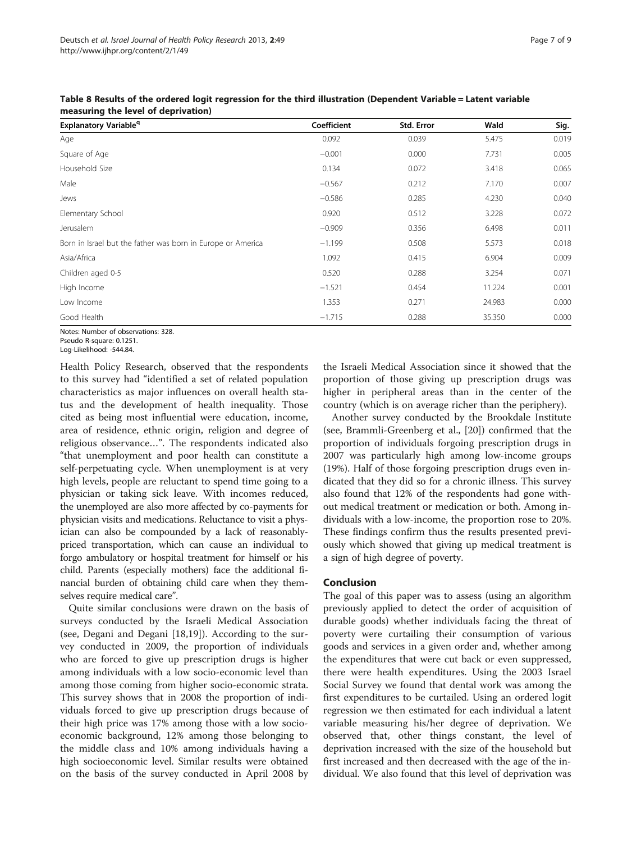| <b>Explanatory Variable<sup>q</sup></b>                     | Coefficient | Std. Error | Wald   | Sig.  |
|-------------------------------------------------------------|-------------|------------|--------|-------|
| Age                                                         | 0.092       | 0.039      | 5.475  | 0.019 |
| Square of Age                                               | $-0.001$    | 0.000      | 7.731  | 0.005 |
| Household Size                                              | 0.134       | 0.072      | 3.418  | 0.065 |
| Male                                                        | $-0.567$    | 0.212      | 7.170  | 0.007 |
| Jews                                                        | $-0.586$    | 0.285      | 4.230  | 0.040 |
| Elementary School                                           | 0.920       | 0.512      | 3.228  | 0.072 |
| Jerusalem                                                   | $-0.909$    | 0.356      | 6.498  | 0.011 |
| Born in Israel but the father was born in Europe or America | $-1.199$    | 0.508      | 5.573  | 0.018 |
| Asia/Africa                                                 | 1.092       | 0.415      | 6.904  | 0.009 |
| Children aged 0-5                                           | 0.520       | 0.288      | 3.254  | 0.071 |
| High Income                                                 | $-1.521$    | 0.454      | 11.224 | 0.001 |
| Low Income                                                  | 1.353       | 0.271      | 24.983 | 0.000 |
| Good Health                                                 | $-1.715$    | 0.288      | 35.350 | 0.000 |

<span id="page-6-0"></span>Table 8 Results of the ordered logit regression for the third illustration (Dependent Variable = Latent variable measuring the level of deprivation)

Notes: Number of observations: 328. Pseudo R-square: 0.1251.

Log-Likelihood: -544.84.

Health Policy Research, observed that the respondents to this survey had "identified a set of related population characteristics as major influences on overall health status and the development of health inequality. Those cited as being most influential were education, income, area of residence, ethnic origin, religion and degree of religious observance…". The respondents indicated also "that unemployment and poor health can constitute a self-perpetuating cycle. When unemployment is at very high levels, people are reluctant to spend time going to a physician or taking sick leave. With incomes reduced, the unemployed are also more affected by co-payments for physician visits and medications. Reluctance to visit a physician can also be compounded by a lack of reasonablypriced transportation, which can cause an individual to forgo ambulatory or hospital treatment for himself or his child. Parents (especially mothers) face the additional financial burden of obtaining child care when they themselves require medical care".

Quite similar conclusions were drawn on the basis of surveys conducted by the Israeli Medical Association (see, Degani and Degani [\[18,19](#page-8-0)]). According to the survey conducted in 2009, the proportion of individuals who are forced to give up prescription drugs is higher among individuals with a low socio-economic level than among those coming from higher socio-economic strata. This survey shows that in 2008 the proportion of individuals forced to give up prescription drugs because of their high price was 17% among those with a low socioeconomic background, 12% among those belonging to the middle class and 10% among individuals having a high socioeconomic level. Similar results were obtained on the basis of the survey conducted in April 2008 by

the Israeli Medical Association since it showed that the proportion of those giving up prescription drugs was higher in peripheral areas than in the center of the country (which is on average richer than the periphery).

Another survey conducted by the Brookdale Institute (see, Brammli-Greenberg et al., [[20\]](#page-8-0)) confirmed that the proportion of individuals forgoing prescription drugs in 2007 was particularly high among low-income groups (19%). Half of those forgoing prescription drugs even indicated that they did so for a chronic illness. This survey also found that 12% of the respondents had gone without medical treatment or medication or both. Among individuals with a low-income, the proportion rose to 20%. These findings confirm thus the results presented previously which showed that giving up medical treatment is a sign of high degree of poverty.

### Conclusion

The goal of this paper was to assess (using an algorithm previously applied to detect the order of acquisition of durable goods) whether individuals facing the threat of poverty were curtailing their consumption of various goods and services in a given order and, whether among the expenditures that were cut back or even suppressed, there were health expenditures. Using the 2003 Israel Social Survey we found that dental work was among the first expenditures to be curtailed. Using an ordered logit regression we then estimated for each individual a latent variable measuring his/her degree of deprivation. We observed that, other things constant, the level of deprivation increased with the size of the household but first increased and then decreased with the age of the individual. We also found that this level of deprivation was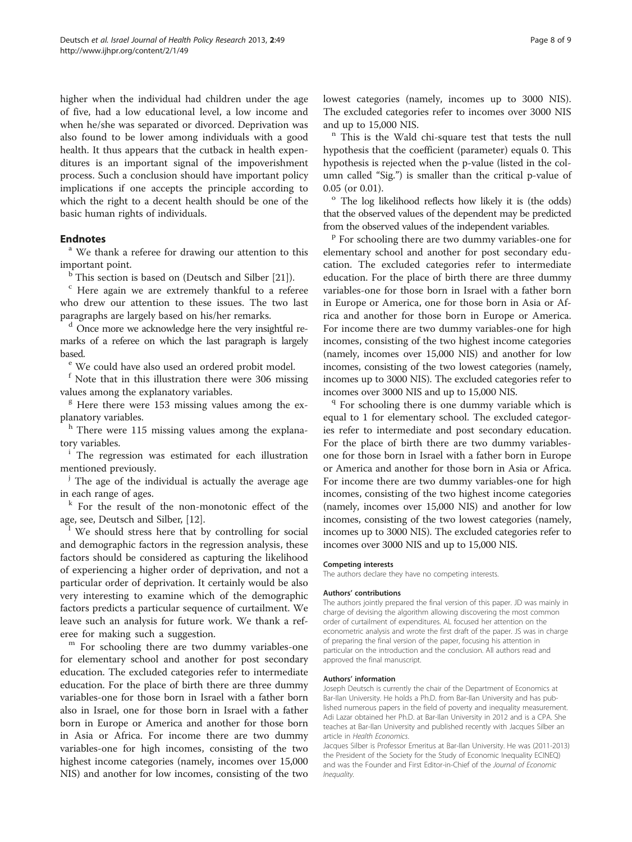higher when the individual had children under the age of five, had a low educational level, a low income and when he/she was separated or divorced. Deprivation was also found to be lower among individuals with a good health. It thus appears that the cutback in health expenditures is an important signal of the impoverishment process. Such a conclusion should have important policy implications if one accepts the principle according to which the right to a decent health should be one of the basic human rights of individuals.

**Endnotes**<br><sup>a</sup> We thank a referee for drawing our attention to this important point.

 $<sup>b</sup>$  This section is based on (Deutsch and Silber [[21](#page-8-0)]).</sup>

<sup>c</sup> Here again we are extremely thankful to a referee who drew our attention to these issues. The two last paragraphs are largely based on his/her remarks.

<sup>d</sup> Once more we acknowledge here the very insightful remarks of a referee on which the last paragraph is largely based.<br><sup>e</sup> We could have also used an ordered probit model.

<sup>f</sup> Note that in this illustration there were 306 missing values among the explanatory variables.

<sup>g</sup> Here there were 153 missing values among the explanatory variables.

h There were 115 missing values among the explanatory variables.<br><sup>i</sup> The regression was estimated for each illustration

mentioned previously.

 $\mu$  The age of the individual is actually the average age in each range of ages.

<sup>k</sup> For the result of the non-monotonic effect of the age, see, Deutsch and Silber, [\[12](#page-8-0)].

<sup>1</sup> We should stress here that by controlling for social and demographic factors in the regression analysis, these factors should be considered as capturing the likelihood of experiencing a higher order of deprivation, and not a particular order of deprivation. It certainly would be also very interesting to examine which of the demographic factors predicts a particular sequence of curtailment. We leave such an analysis for future work. We thank a ref-

eree for making such a suggestion.<br><sup>m</sup> For schooling there are two dummy variables-one for elementary school and another for post secondary education. The excluded categories refer to intermediate education. For the place of birth there are three dummy variables-one for those born in Israel with a father born also in Israel, one for those born in Israel with a father born in Europe or America and another for those born in Asia or Africa. For income there are two dummy variables-one for high incomes, consisting of the two highest income categories (namely, incomes over 15,000 NIS) and another for low incomes, consisting of the two lowest categories (namely, incomes up to 3000 NIS). The excluded categories refer to incomes over 3000 NIS

and up to 15,000 NIS.<br><sup>n</sup> This is the Wald chi-square test that tests the null hypothesis that the coefficient (parameter) equals 0. This hypothesis is rejected when the p-value (listed in the column called "Sig.") is smaller than the critical p-value of

0.05 (or 0.01).<br> $\degree$  The log likelihood reflects how likely it is (the odds) that the observed values of the dependent may be predicted from the observed values of the independent variables.<br><sup>p</sup> For schooling there are two dummy variables-one for

elementary school and another for post secondary education. The excluded categories refer to intermediate education. For the place of birth there are three dummy variables-one for those born in Israel with a father born in Europe or America, one for those born in Asia or Africa and another for those born in Europe or America. For income there are two dummy variables-one for high incomes, consisting of the two highest income categories (namely, incomes over 15,000 NIS) and another for low incomes, consisting of the two lowest categories (namely, incomes up to 3000 NIS). The excluded categories refer to incomes over 3000 NIS and up to 15,000 NIS.<br> $\frac{q}{r}$  For schooling there is one dummy variable which is

equal to 1 for elementary school. The excluded categories refer to intermediate and post secondary education. For the place of birth there are two dummy variablesone for those born in Israel with a father born in Europe or America and another for those born in Asia or Africa. For income there are two dummy variables-one for high incomes, consisting of the two highest income categories (namely, incomes over 15,000 NIS) and another for low incomes, consisting of the two lowest categories (namely, incomes up to 3000 NIS). The excluded categories refer to incomes over 3000 NIS and up to 15,000 NIS.

#### Competing interests

The authors declare they have no competing interests.

#### Authors' contributions

The authors jointly prepared the final version of this paper. JD was mainly in charge of devising the algorithm allowing discovering the most common order of curtailment of expenditures. AL focused her attention on the econometric analysis and wrote the first draft of the paper. JS was in charge of preparing the final version of the paper, focusing his attention in particular on the introduction and the conclusion. All authors read and approved the final manuscript.

#### Authors' information

Joseph Deutsch is currently the chair of the Department of Economics at Bar-Ilan University. He holds a Ph.D. from Bar-Ilan University and has published numerous papers in the field of poverty and inequality measurement. Adi Lazar obtained her Ph.D. at Bar-Ilan University in 2012 and is a CPA. She teaches at Bar-Ilan University and published recently with Jacques Silber an article in Health Economics.

Jacques Silber is Professor Emeritus at Bar-Ilan University. He was (2011-2013) the President of the Society for the Study of Economic Inequality ECINEQ) and was the Founder and First Editor-in-Chief of the Journal of Economic Inequality.